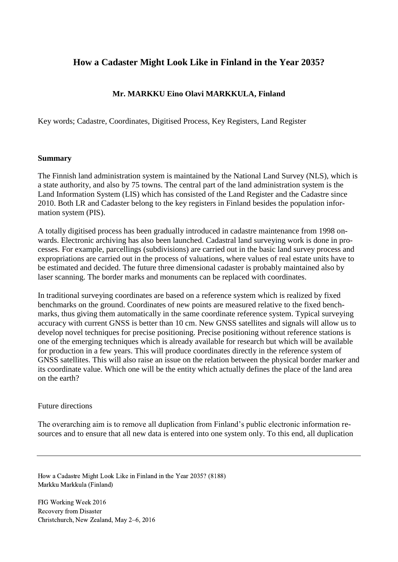# **How a Cadaster Might Look Like in Finland in the Year 2035?**

# **Mr. MARKKU Eino Olavi MARKKULA, Finland**

Key words; Cadastre, Coordinates, Digitised Process, Key Registers, Land Register

## **Summary**

The Finnish land administration system is maintained by the National Land Survey (NLS), which is a state authority, and also by 75 towns. The central part of the land administration system is the Land Information System (LIS) which has consisted of the Land Register and the Cadastre since 2010. Both LR and Cadaster belong to the key registers in Finland besides the population information system (PIS).

A totally digitised process has been gradually introduced in cadastre maintenance from 1998 onwards. Electronic archiving has also been launched. Cadastral land surveying work is done in processes. For example, parcellings (subdivisions) are carried out in the basic land survey process and expropriations are carried out in the process of valuations, where values of real estate units have to be estimated and decided. The future three dimensional cadaster is probably maintained also by laser scanning. The border marks and monuments can be replaced with coordinates.

In traditional surveying coordinates are based on a reference system which is realized by fixed benchmarks on the ground. Coordinates of new points are measured relative to the fixed benchmarks, thus giving them automatically in the same coordinate reference system. Typical surveying accuracy with current GNSS is better than 10 cm. New GNSS satellites and signals will allow us to develop novel techniques for precise positioning. Precise positioning without reference stations is one of the emerging techniques which is already available for research but which will be available for production in a few years. This will produce coordinates directly in the reference system of GNSS satellites. This will also raise an issue on the relation between the physical border marker and its coordinate value. Which one will be the entity which actually defines the place of the land area on the earth?

# Future directions

The overarching aim is to remove all duplication from Finland's public electronic information resources and to ensure that all new data is entered into one system only. To this end, all duplication

How a Cadastre Might Look Like in Finland in the Year 2035? (8188) Markku Markkula (Finland)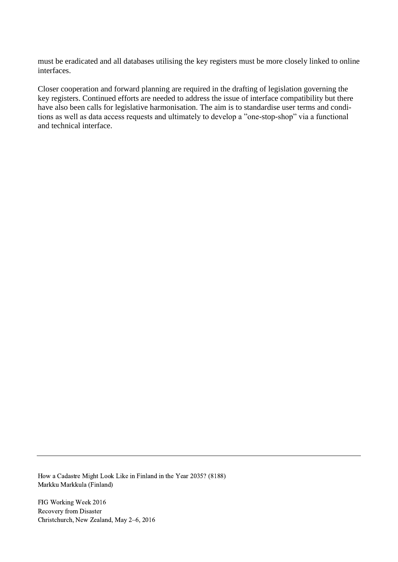must be eradicated and all databases utilising the key registers must be more closely linked to online interfaces.

Closer cooperation and forward planning are required in the drafting of legislation governing the key registers. Continued efforts are needed to address the issue of interface compatibility but there have also been calls for legislative harmonisation. The aim is to standardise user terms and conditions as well as data access requests and ultimately to develop a "one-stop-shop" via a functional and technical interface.

How a Cadastre Might Look Like in Finland in the Year 2035? (8188) Markku Markkula (Finland)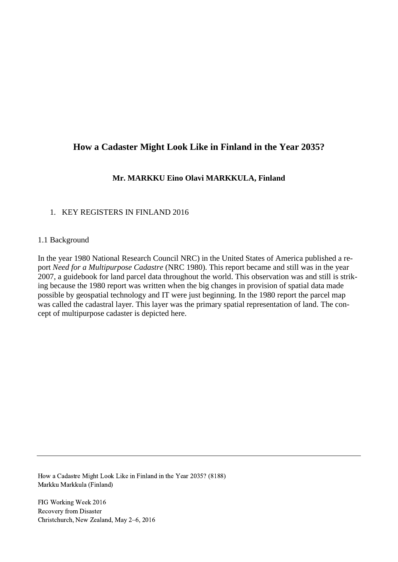# **How a Cadaster Might Look Like in Finland in the Year 2035?**

# **Mr. MARKKU Eino Olavi MARKKULA, Finland**

# 1. KEY REGISTERS IN FINLAND 2016

#### 1.1 Background

In the year 1980 National Research Council NRC) in the United States of America published a report *Need for a Multipurpose Cadastre* (NRC 1980). This report became and still was in the year 2007, a guidebook for land parcel data throughout the world. This observation was and still is striking because the 1980 report was written when the big changes in provision of spatial data made possible by geospatial technology and IT were just beginning. In the 1980 report the parcel map was called the cadastral layer. This layer was the primary spatial representation of land. The concept of multipurpose cadaster is depicted here.

How a Cadastre Might Look Like in Finland in the Year 2035? (8188) Markku Markkula (Finland)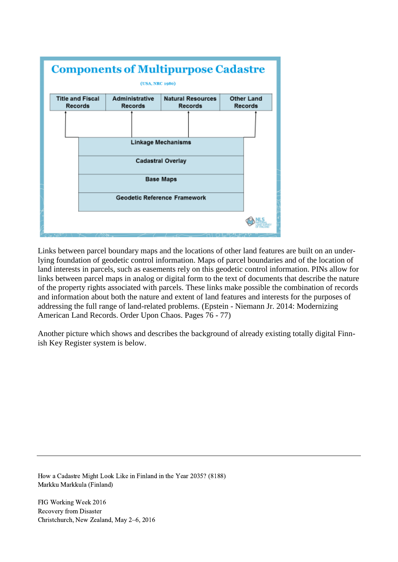

Links between parcel boundary maps and the locations of other land features are built on an underlying foundation of geodetic control information. Maps of parcel boundaries and of the location of land interests in parcels, such as easements rely on this geodetic control information. PINs allow for links between parcel maps in analog or digital form to the text of documents that describe the nature of the property rights associated with parcels. These links make possible the combination of records and information about both the nature and extent of land features and interests for the purposes of addressing the full range of land-related problems. (Epstein - Niemann Jr. 2014: Modernizing American Land Records. Order Upon Chaos. Pages 76 - 77)

Another picture which shows and describes the background of already existing totally digital Finnish Key Register system is below.

How a Cadastre Might Look Like in Finland in the Year 2035? (8188) Markku Markkula (Finland)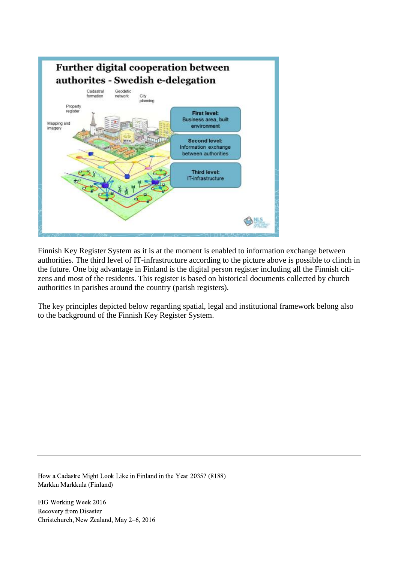

Finnish Key Register System as it is at the moment is enabled to information exchange between authorities. The third level of IT-infrastructure according to the picture above is possible to clinch in the future. One big advantage in Finland is the digital person register including all the Finnish citizens and most of the residents. This register is based on historical documents collected by church authorities in parishes around the country (parish registers).

The key principles depicted below regarding spatial, legal and institutional framework belong also to the background of the Finnish Key Register System.

How a Cadastre Might Look Like in Finland in the Year 2035? (8188) Markku Markkula (Finland)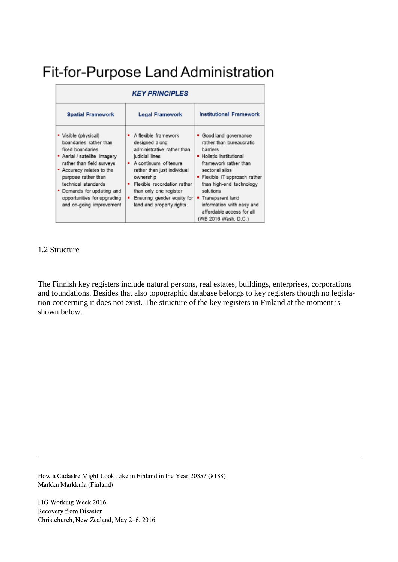# Fit-for-Purpose Land Administration

| <b>KEY PRINCIPLES</b>                                                                                                                                                                                                                                                                               |                                                                                                                                                                                                                                                                                                                   |                                                                                                                                                                                                                                                                                                                        |
|-----------------------------------------------------------------------------------------------------------------------------------------------------------------------------------------------------------------------------------------------------------------------------------------------------|-------------------------------------------------------------------------------------------------------------------------------------------------------------------------------------------------------------------------------------------------------------------------------------------------------------------|------------------------------------------------------------------------------------------------------------------------------------------------------------------------------------------------------------------------------------------------------------------------------------------------------------------------|
| <b>Spatial Framework</b>                                                                                                                                                                                                                                                                            | <b>Legal Framework</b>                                                                                                                                                                                                                                                                                            | <b>Institutional Framework</b>                                                                                                                                                                                                                                                                                         |
| • Visible (physical)<br>boundaries rather than<br>fixed boundaries<br>• Aerial / satellite imagery<br>rather than field surveys<br>• Accuracy relates to the<br>purpose rather than<br>technical standards<br>• Demands for updating and<br>opportunities for upgrading<br>and on-going improvement | A flexible framework<br>designed along<br>administrative rather than<br>judicial lines<br>• A continuum of tenure<br>rather than just individual<br>ownership<br>Flexible recordation rather<br>٠<br>than only one register<br>Ensuring gender equity for $\vert \bullet \vert$<br>٠<br>land and property rights. | • Good land governance<br>rather than bureaucratic<br>barriers<br>• Holistic institutional<br>framework rather than<br>sectorial silos<br>• Flexible IT approach rather<br>than high-end technology<br>solutions<br>Transparent land<br>information with easy and<br>affordable access for all<br>(WB 2016 Wash, D.C.) |

## 1.2 Structure

The Finnish key registers include natural persons, real estates, buildings, enterprises, corporations and foundations. Besides that also topographic database belongs to key registers though no legislation concerning it does not exist. The structure of the key registers in Finland at the moment is shown below.

How a Cadastre Might Look Like in Finland in the Year 2035? (8188) Markku Markkula (Finland)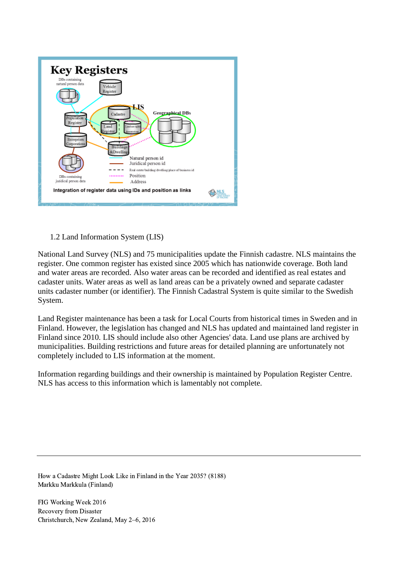

# 1.2 Land Information System (LIS)

National Land Survey (NLS) and 75 municipalities update the Finnish cadastre. NLS maintains the register. One common register has existed since 2005 which has nationwide coverage. Both land and water areas are recorded. Also water areas can be recorded and identified as real estates and cadaster units. Water areas as well as land areas can be a privately owned and separate cadaster units cadaster number (or identifier). The Finnish Cadastral System is quite similar to the Swedish System.

Land Register maintenance has been a task for Local Courts from historical times in Sweden and in Finland. However, the legislation has changed and NLS has updated and maintained land register in Finland since 2010. LIS should include also other Agencies' data. Land use plans are archived by municipalities. Building restrictions and future areas for detailed planning are unfortunately not completely included to LIS information at the moment.

Information regarding buildings and their ownership is maintained by Population Register Centre. NLS has access to this information which is lamentably not complete.

How a Cadastre Might Look Like in Finland in the Year 2035? (8188) Markku Markkula (Finland)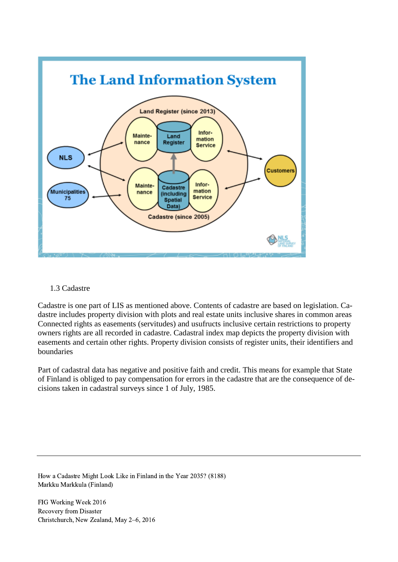

# 1.3 Cadastre

Cadastre is one part of LIS as mentioned above. Contents of cadastre are based on legislation. Cadastre includes property division with plots and real estate units inclusive shares in common areas Connected rights as easements (servitudes) and usufructs inclusive certain restrictions to property owners rights are all recorded in cadastre. Cadastral index map depicts the property division with easements and certain other rights. Property division consists of register units, their identifiers and boundaries

Part of cadastral data has negative and positive faith and credit. This means for example that State of Finland is obliged to pay compensation for errors in the cadastre that are the consequence of decisions taken in cadastral surveys since 1 of July, 1985.

How a Cadastre Might Look Like in Finland in the Year 2035? (8188) Markku Markkula (Finland)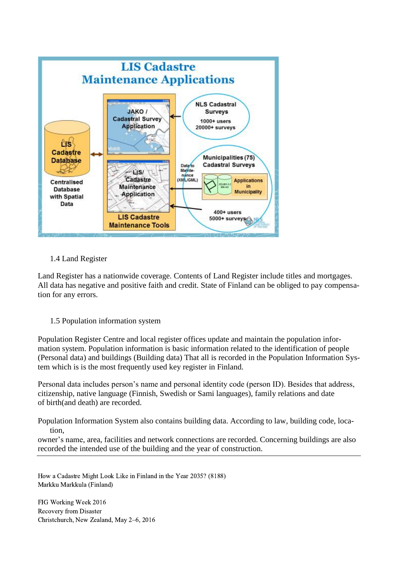

# 1.4 Land Register

Land Register has a nationwide coverage. Contents of Land Register include titles and mortgages. All data has negative and positive faith and credit. State of Finland can be obliged to pay compensation for any errors.

# 1.5 Population information system

Population Register Centre and local register offices update and maintain the population information system. Population information is basic information related to the identification of people (Personal data) and buildings (Building data) That all is recorded in the Population Information System which is is the most frequently used key register in Finland.

Personal data includes person's name and personal identity code (person ID). Besides that address, citizenship, native language (Finnish, Swedish or Sami languages), family relations and date of birth(and death) are recorded.

Population Information System also contains building data. According to law, building code, location,

owner's name, area, facilities and network connections are recorded. Concerning buildings are also recorded the intended use of the building and the year of construction.

How a Cadastre Might Look Like in Finland in the Year 2035? (8188) Markku Markkula (Finland)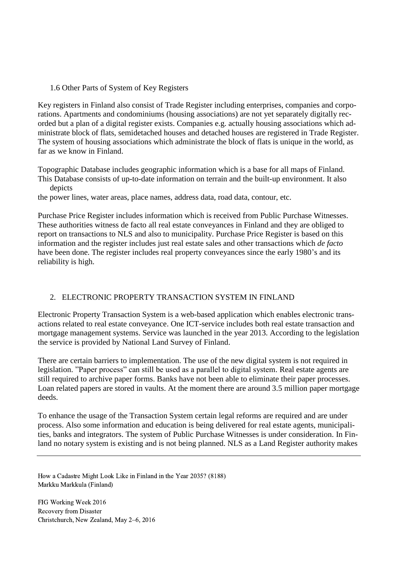## 1.6 Other Parts of System of Key Registers

Key registers in Finland also consist of Trade Register including enterprises, companies and corporations. Apartments and condominiums (housing associations) are not yet separately digitally recorded but a plan of a digital register exists. Companies e.g. actually housing associations which administrate block of flats, semidetached houses and detached houses are registered in Trade Register. The system of housing associations which administrate the block of flats is unique in the world, as far as we know in Finland.

Topographic Database includes geographic information which is a base for all maps of Finland. This Database consists of up-to-date information on terrain and the built-up environment. It also depicts

the power lines, water areas, place names, address data, road data, contour, etc.

Purchase Price Register includes information which is received from Public Purchase Witnesses. These authorities witness de facto all real estate conveyances in Finland and they are obliged to report on transactions to NLS and also to municipality. Purchase Price Register is based on this information and the register includes just real estate sales and other transactions which *de facto* have been done. The register includes real property conveyances since the early 1980's and its reliability is high.

# 2. ELECTRONIC PROPERTY TRANSACTION SYSTEM IN FINLAND

Electronic Property Transaction System is a web-based application which enables electronic transactions related to real estate conveyance. One ICT-service includes both real estate transaction and mortgage management systems. Service was launched in the year 2013. According to the legislation the service is provided by National Land Survey of Finland.

There are certain barriers to implementation. The use of the new digital system is not required in legislation. "Paper process" can still be used as a parallel to digital system. Real estate agents are still required to archive paper forms. Banks have not been able to eliminate their paper processes. Loan related papers are stored in vaults. At the moment there are around 3.5 million paper mortgage deeds.

To enhance the usage of the Transaction System certain legal reforms are required and are under process. Also some information and education is being delivered for real estate agents, municipalities, banks and integrators. The system of Public Purchase Witnesses is under consideration. In Finland no notary system is existing and is not being planned. NLS as a Land Register authority makes

How a Cadastre Might Look Like in Finland in the Year 2035? (8188) Markku Markkula (Finland)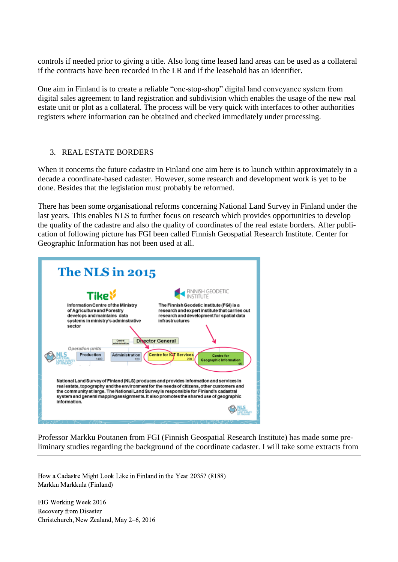controls if needed prior to giving a title. Also long time leased land areas can be used as a collateral if the contracts have been recorded in the LR and if the leasehold has an identifier.

One aim in Finland is to create a reliable "one-stop-shop" digital land conveyance system from digital sales agreement to land registration and subdivision which enables the usage of the new real estate unit or plot as a collateral. The process will be very quick with interfaces to other authorities registers where information can be obtained and checked immediately under processing.

## 3. REAL ESTATE BORDERS

When it concerns the future cadastre in Finland one aim here is to launch within approximately in a decade a coordinate-based cadaster. However, some research and development work is yet to be done. Besides that the legislation must probably be reformed.

There has been some organisational reforms concerning National Land Survey in Finland under the last years. This enables NLS to further focus on research which provides opportunities to develop the quality of the cadastre and also the quality of coordinates of the real estate borders. After publication of following picture has FGI been called Finnish Geospatial Research Institute. Center for Geographic Information has not been used at all.

| <b>The NLS in 2015</b> |                                                                                                                                                                                                                                                                                                                                                                                                                                                                                                                                         |  |
|------------------------|-----------------------------------------------------------------------------------------------------------------------------------------------------------------------------------------------------------------------------------------------------------------------------------------------------------------------------------------------------------------------------------------------------------------------------------------------------------------------------------------------------------------------------------------|--|
|                        | FINNISH GEODETIC<br>INSTITUTE<br><b>Tike</b> <sup>%</sup>                                                                                                                                                                                                                                                                                                                                                                                                                                                                               |  |
|                        | The Finnish Geodetic Institute (FGI) is a<br>Information Centre of the Ministry<br>of Agriculture and Forestry<br>research and expert institute that carries out<br>develops and maintains data<br>research and development for spatial data<br>systems in ministry's adminstrative<br>infrastructures<br>sector<br>Director General<br>Central<br>iministratio<br>Operation units<br><b>Centre for IOT Services</b><br>Production<br><b>Administration</b><br><b>Centre for</b><br>1400<br>290<br>120<br><b>Geographic Information</b> |  |
|                        | National Land Survey of Finland (NLS) produces and provides information and services in<br>real estate, topography and the environment for the needs of citizens, other customers and<br>the community at large. The National Land Survey is responsible for Finland's cadastral<br>system and general mapping assignments. It also promotes the shared use of geographic<br>information.                                                                                                                                               |  |

Professor Markku Poutanen from FGI (Finnish Geospatial Research Institute) has made some preliminary studies regarding the background of the coordinate cadaster. I will take some extracts from

How a Cadastre Might Look Like in Finland in the Year 2035? (8188) Markku Markkula (Finland)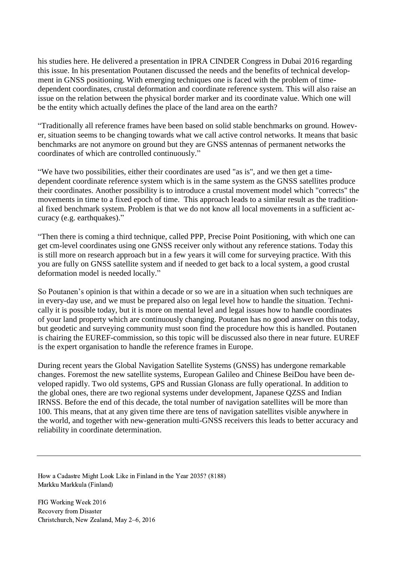his studies here. He delivered a presentation in IPRA CINDER Congress in Dubai 2016 regarding this issue. In his presentation Poutanen discussed the needs and the benefits of technical development in GNSS positioning. With emerging techniques one is faced with the problem of timedependent coordinates, crustal deformation and coordinate reference system. This will also raise an issue on the relation between the physical border marker and its coordinate value. Which one will be the entity which actually defines the place of the land area on the earth?

"Traditionally all reference frames have been based on solid stable benchmarks on ground. However, situation seems to be changing towards what we call active control networks. It means that basic benchmarks are not anymore on ground but they are GNSS antennas of permanent networks the coordinates of which are controlled continuously."

"We have two possibilities, either their coordinates are used "as is", and we then get a timedependent coordinate reference system which is in the same system as the GNSS satellites produce their coordinates. Another possibility is to introduce a crustal movement model which "corrects" the movements in time to a fixed epoch of time. This approach leads to a similar result as the traditional fixed benchmark system. Problem is that we do not know all local movements in a sufficient accuracy (e.g. earthquakes)."

"Then there is coming a third technique, called PPP, Precise Point Positioning, with which one can get cm-level coordinates using one GNSS receiver only without any reference stations. Today this is still more on research approach but in a few years it will come for surveying practice. With this you are fully on GNSS satellite system and if needed to get back to a local system, a good crustal deformation model is needed locally."

So Poutanen's opinion is that within a decade or so we are in a situation when such techniques are in every-day use, and we must be prepared also on legal level how to handle the situation. Technically it is possible today, but it is more on mental level and legal issues how to handle coordinates of your land property which are continuously changing. Poutanen has no good answer on this today, but geodetic and surveying community must soon find the procedure how this is handled. Poutanen is chairing the EUREF-commission, so this topic will be discussed also there in near future. EUREF is the expert organisation to handle the reference frames in Europe.

During recent years the Global Navigation Satellite Systems (GNSS) has undergone remarkable changes. Foremost the new satellite systems, European Galileo and Chinese BeiDou have been developed rapidly. Two old systems, GPS and Russian Glonass are fully operational. In addition to the global ones, there are two regional systems under development, Japanese QZSS and Indian IRNSS. Before the end of this decade, the total number of navigation satellites will be more than 100. This means, that at any given time there are tens of navigation satellites visible anywhere in the world, and together with new-generation multi-GNSS receivers this leads to better accuracy and reliability in coordinate determination.

How a Cadastre Might Look Like in Finland in the Year 2035? (8188) Markku Markkula (Finland)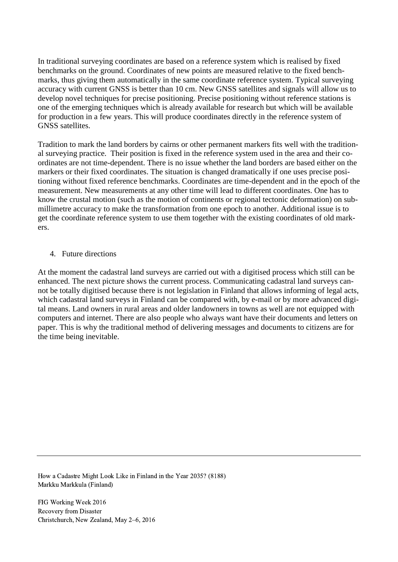In traditional surveying coordinates are based on a reference system which is realised by fixed benchmarks on the ground. Coordinates of new points are measured relative to the fixed benchmarks, thus giving them automatically in the same coordinate reference system. Typical surveying accuracy with current GNSS is better than 10 cm. New GNSS satellites and signals will allow us to develop novel techniques for precise positioning. Precise positioning without reference stations is one of the emerging techniques which is already available for research but which will be available for production in a few years. This will produce coordinates directly in the reference system of GNSS satellites.

Tradition to mark the land borders by cairns or other permanent markers fits well with the traditional surveying practice. Their position is fixed in the reference system used in the area and their coordinates are not time-dependent. There is no issue whether the land borders are based either on the markers or their fixed coordinates. The situation is changed dramatically if one uses precise positioning without fixed reference benchmarks. Coordinates are time-dependent and in the epoch of the measurement. New measurements at any other time will lead to different coordinates. One has to know the crustal motion (such as the motion of continents or regional tectonic deformation) on submillimetre accuracy to make the transformation from one epoch to another. Additional issue is to get the coordinate reference system to use them together with the existing coordinates of old markers.

## 4. Future directions

At the moment the cadastral land surveys are carried out with a digitised process which still can be enhanced. The next picture shows the current process. Communicating cadastral land surveys cannot be totally digitised because there is not legislation in Finland that allows informing of legal acts, which cadastral land surveys in Finland can be compared with, by e-mail or by more advanced digital means. Land owners in rural areas and older landowners in towns as well are not equipped with computers and internet. There are also people who always want have their documents and letters on paper. This is why the traditional method of delivering messages and documents to citizens are for the time being inevitable.

How a Cadastre Might Look Like in Finland in the Year 2035? (8188) Markku Markkula (Finland)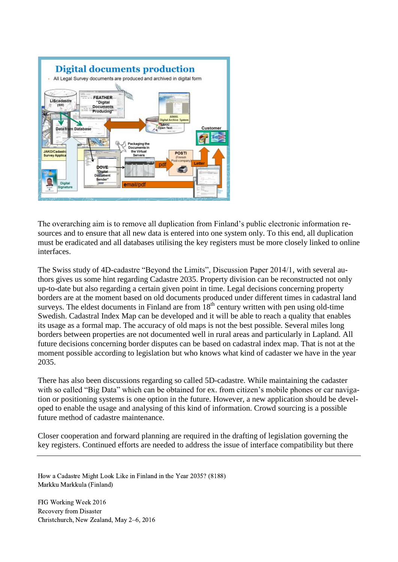

The overarching aim is to remove all duplication from Finland's public electronic information resources and to ensure that all new data is entered into one system only. To this end, all duplication must be eradicated and all databases utilising the key registers must be more closely linked to online interfaces.

The Swiss study of 4D-cadastre "Beyond the Limits", Discussion Paper 2014/1, with several authors gives us some hint regarding Cadastre 2035. Property division can be reconstructed not only up-to-date but also regarding a certain given point in time. Legal decisions concerning property borders are at the moment based on old documents produced under different times in cadastral land surveys. The eldest documents in Finland are from  $18<sup>th</sup>$  century written with pen using old-time Swedish. Cadastral Index Map can be developed and it will be able to reach a quality that enables its usage as a formal map. The accuracy of old maps is not the best possible. Several miles long borders between properties are not documented well in rural areas and particularly in Lapland. All future decisions concerning border disputes can be based on cadastral index map. That is not at the moment possible according to legislation but who knows what kind of cadaster we have in the year 2035.

There has also been discussions regarding so called 5D-cadastre. While maintaining the cadaster with so called "Big Data" which can be obtained for ex. from citizen's mobile phones or car navigation or positioning systems is one option in the future. However, a new application should be developed to enable the usage and analysing of this kind of information. Crowd sourcing is a possible future method of cadastre maintenance.

Closer cooperation and forward planning are required in the drafting of legislation governing the key registers. Continued efforts are needed to address the issue of interface compatibility but there

How a Cadastre Might Look Like in Finland in the Year 2035? (8188) Markku Markkula (Finland)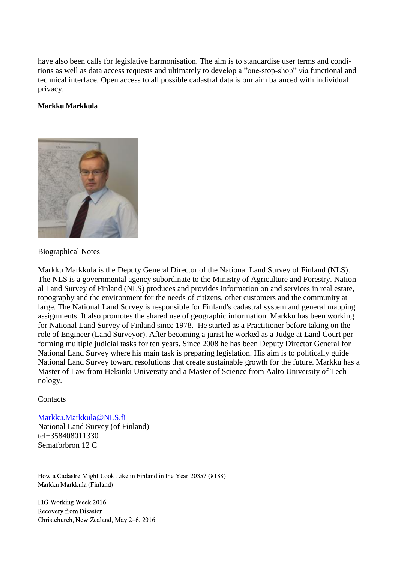have also been calls for legislative harmonisation. The aim is to standardise user terms and conditions as well as data access requests and ultimately to develop a "one-stop-shop" via functional and technical interface. Open access to all possible cadastral data is our aim balanced with individual privacy.

#### **Markku Markkula**



#### Biographical Notes

Markku Markkula is the Deputy General Director of the National Land Survey of Finland (NLS). The NLS is a governmental agency subordinate to the Ministry of Agriculture and Forestry. National Land Survey of Finland (NLS) produces and provides information on and services in real estate, topography and the environment for the needs of citizens, other customers and the community at large. The National Land Survey is responsible for Finland's cadastral system and general mapping assignments. It also promotes the shared use of geographic information. Markku has been working for National Land Survey of Finland since 1978. He started as a Practitioner before taking on the role of Engineer (Land Surveyor). After becoming a jurist he worked as a Judge at Land Court performing multiple judicial tasks for ten years. Since 2008 he has been Deputy Director General for National Land Survey where his main task is preparing legislation. His aim is to politically guide National Land Survey toward resolutions that create sustainable growth for the future. Markku has a Master of Law from Helsinki University and a Master of Science from Aalto University of Technology.

#### **Contacts**

#### [Markku.Markkula@NLS.fi](mailto:Markku.Markkula@NLS.fi)

National Land Survey (of Finland) tel+358408011330 Semaforbron 12 C

How a Cadastre Might Look Like in Finland in the Year 2035? (8188) Markku Markkula (Finland)